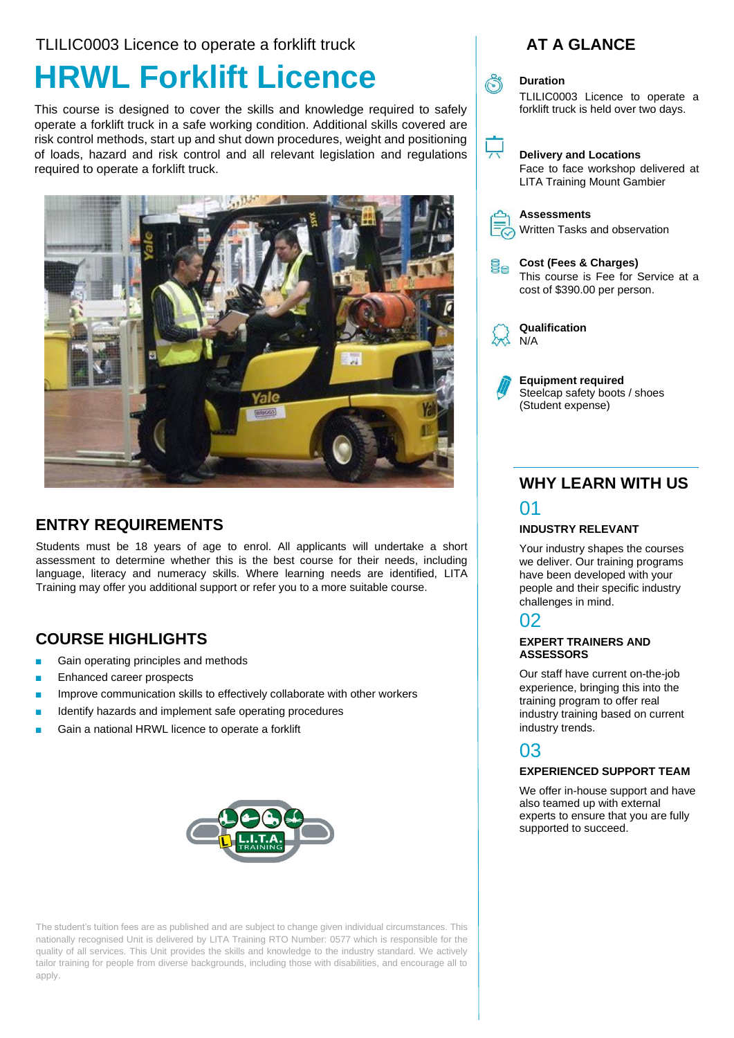TLILIC0003 Licence to operate a forklift truck

# **HRWL Forklift Licence**

This course is designed to cover the skills and knowledge required to safely operate a forklift truck in a safe working condition. Additional skills covered are risk control methods, start up and shut down procedures, weight and positioning of loads, hazard and risk control and all relevant legislation and regulations required to operate a forklift truck.



### **ENTRY REQUIREMENTS**

Students must be 18 years of age to enrol. All applicants will undertake a short assessment to determine whether this is the best course for their needs, including language, literacy and numeracy skills. Where learning needs are identified, LITA Training may offer you additional support or refer you to a more suitable course.

### **COURSE HIGHLIGHTS**

- Gain operating principles and methods
- Enhanced career prospects
- Improve communication skills to effectively collaborate with other workers
- Identify hazards and implement safe operating procedures
- Gain a national HRWL licence to operate a forklift



The student's tuition fees are as published and are subject to change given individual circumstances. This nationally recognised Unit is delivered by LITA Training RTO Number: 0577 which is responsible for the quality of all services. This Unit provides the skills and knowledge to the industry standard. We actively tailor training for people from diverse backgrounds, including those with disabilities, and encourage all to apply.





#### **Duration**

TLILIC0003 Licence to operate a forklift truck is held over two days.



#### **Delivery and Locations**

Face to face workshop delivered at LITA Training Mount Gambier



#### **Assessments**

Written Tasks and observation

**Cost (Fees & Charges)** ige<br>B This course is Fee for Service at a cost of \$390.00 per person.



**Qualification** N/A

**Equipment required**  Steelcap safety boots / shoes (Student expense)

### **WHY LEARN WITH US** 01

#### **INDUSTRY RELEVANT**

Your industry shapes the courses we deliver. Our training programs have been developed with your people and their specific industry challenges in mind.

### 02

#### **EXPERT TRAINERS AND ASSESSORS**

Our staff have current on-the-job experience, bringing this into the training program to offer real industry training based on current industry trends.

### 03

#### **EXPERIENCED SUPPORT TEAM**

We offer in-house support and have also teamed up with external experts to ensure that you are fully supported to succeed.